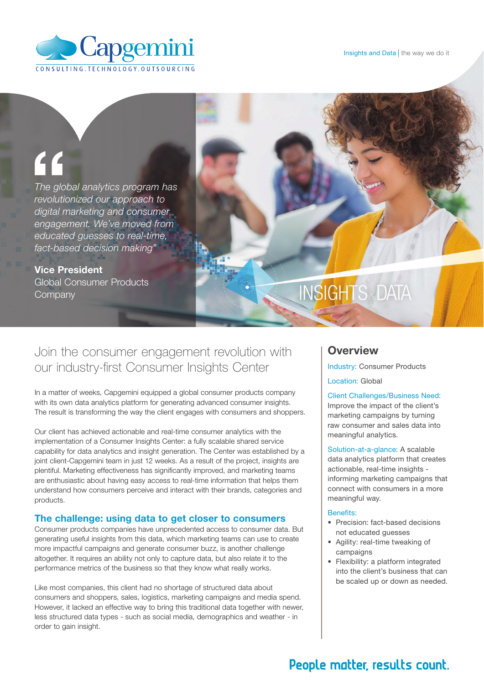

# "

*The global analytics program has revolutionized our approach to digital marketing and consumer engagement. We've moved from educated guesses to real-time, fact-based decision making"* 

Vice President Global Consumer Products **Company** 

# **INSIGHTS&DATA**

# Join the consumer engagement revolution with our industry-first Consumer Insights Center

In a matter of weeks, Capgemini equipped a global consumer products company with its own data analytics platform for generating advanced consumer insights. The result is transforming the way the client engages with consumers and shoppers.

Our client has achieved actionable and real-time consumer analytics with the implementation of a Consumer Insights Center: a fully scalable shared service capability for data analytics and insight generation. The Center was established by a joint client-Capgemini team in just 12 weeks. As a result of the project, insights are plentiful. Marketing effectiveness has significantly improved, and marketing teams are enthusiastic about having easy access to real-time information that helps them understand how consumers perceive and interact with their brands, categories and products.

## The challenge: using data to get closer to consumers

Consumer products companies have unprecedented access to consumer data. But generating useful insights from this data, which marketing teams can use to create more impactful campaigns and generate consumer buzz, is another challenge altogether. It requires an ability not only to capture data, but also relate it to the performance metrics of the business so that they know what really works.

Like most companies, this client had no shortage of structured data about consumers and shoppers, sales, logistics, marketing campaigns and media spend. However, it lacked an effective way to bring this traditional data together with newer, less structured data types - such as social media, demographics and weather - in order to gain insight.

# **Overview**

Industry: Consumer Products

Location: Global

#### Client Challenges/Business Need:

Improve the impact of the client's marketing campaigns by turning raw consumer and sales data into meaningful analytics.

Solution-at-a-glance: A scalable data analytics platform that creates actionable, real-time insights informing marketing campaigns that connect with consumers in a more meaningful way.

#### Benefits:

- Precision: fact-based decisions not educated guesses
- • Agility: real-time tweaking of campaigns
- Flexibility: a platform integrated into the client's business that can be scaled up or down as needed.

# People matter, results count.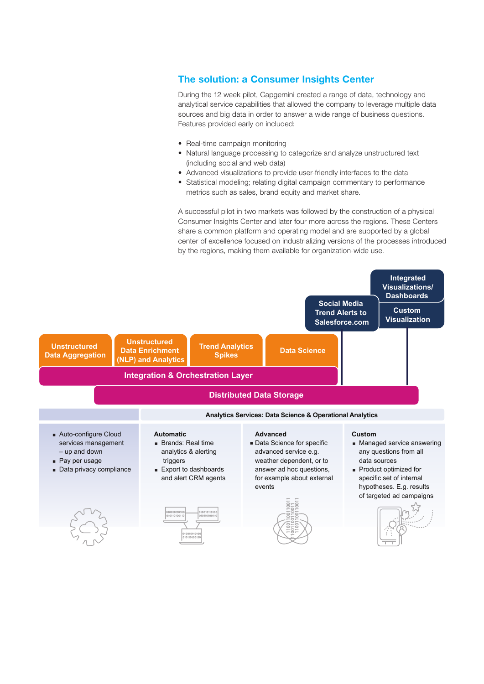# The solution: a Consumer Insights Center

During the 12 week pilot, Capgemini created a range of data, technology and analytical service capabilities that allowed the company to leverage multiple data sources and big data in order to answer a wide range of business questions. Features provided early on included:

- Real-time campaign monitoring
- Natural language processing to categorize and analyze unstructured text (including social and web data)
- Advanced visualizations to provide user-friendly interfaces to the data
- Statistical modeling; relating digital campaign commentary to performance metrics such as sales, brand equity and market share.

A successful pilot in two markets was followed by the construction of a physical Consumer Insights Center and later four more across the regions. These Centers share a common platform and operating model and are supported by a global center of excellence focused on industrializing versions of the processes introduced by the regions, making them available for organization-wide use.

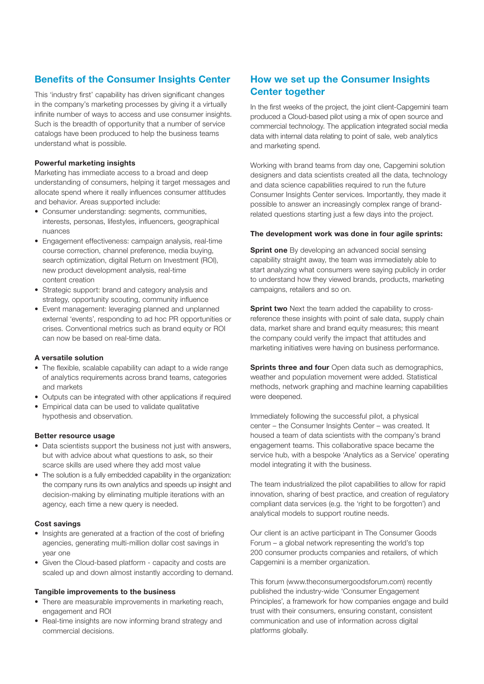# Benefits of the Consumer Insights Center

This 'industry first' capability has driven significant changes in the company's marketing processes by giving it a virtually infinite number of ways to access and use consumer insights. Such is the breadth of opportunity that a number of service catalogs have been produced to help the business teams understand what is possible.

#### Powerful marketing insights

Marketing has immediate access to a broad and deep understanding of consumers, helping it target messages and allocate spend where it really influences consumer attitudes and behavior. Areas supported include:

- Consumer understanding: segments, communities, interests, personas, lifestyles, influencers, geographical nuances
- Engagement effectiveness: campaign analysis, real-time course correction, channel preference, media buying, search optimization, digital Return on Investment (ROI), new product development analysis, real-time content creation
- Strategic support: brand and category analysis and strategy, opportunity scouting, community influence
- Event management: leveraging planned and unplanned external 'events', responding to ad hoc PR opportunities or crises. Conventional metrics such as brand equity or ROI can now be based on real-time data.

#### A versatile solution

- The flexible, scalable capability can adapt to a wide range of analytics requirements across brand teams, categories and markets
- Outputs can be integrated with other applications if required
- Empirical data can be used to validate qualitative hypothesis and observation.

#### Better resource usage

- Data scientists support the business not just with answers, but with advice about what questions to ask, so their scarce skills are used where they add most value
- The solution is a fully embedded capability in the organization: the company runs its own analytics and speeds up insight and decision-making by eliminating multiple iterations with an agency, each time a new query is needed.

#### Cost savings

- Insights are generated at a fraction of the cost of briefing agencies, generating multi-million dollar cost savings in year one
- Given the Cloud-based platform capacity and costs are scaled up and down almost instantly according to demand.

#### Tangible improvements to the business

- There are measurable improvements in marketing reach, engagement and ROI
- Real-time insights are now informing brand strategy and commercial decisions.

# How we set up the Consumer Insights Center together

In the first weeks of the project, the joint client-Capgemini team produced a Cloud-based pilot using a mix of open source and commercial technology. The application integrated social media data with internal data relating to point of sale, web analytics and marketing spend.

Working with brand teams from day one, Capgemini solution designers and data scientists created all the data, technology and data science capabilities required to run the future Consumer Insights Center services. Importantly, they made it possible to answer an increasingly complex range of brandrelated questions starting just a few days into the project.

#### The development work was done in four agile sprints:

**Sprint one** By developing an advanced social sensing capability straight away, the team was immediately able to start analyzing what consumers were saying publicly in order to understand how they viewed brands, products, marketing campaigns, retailers and so on.

**Sprint two** Next the team added the capability to crossreference these insights with point of sale data, supply chain data, market share and brand equity measures; this meant the company could verify the impact that attitudes and marketing initiatives were having on business performance.

**Sprints three and four** Open data such as demographics. weather and population movement were added. Statistical methods, network graphing and machine learning capabilities were deepened.

Immediately following the successful pilot, a physical center – the Consumer Insights Center – was created. It housed a team of data scientists with the company's brand engagement teams. This collaborative space became the service hub, with a bespoke 'Analytics as a Service' operating model integrating it with the business.

The team industrialized the pilot capabilities to allow for rapid innovation, sharing of best practice, and creation of regulatory compliant data services (e.g. the 'right to be forgotten') and analytical models to support routine needs.

Our client is an active participant in The Consumer Goods Forum – a global network representing the world's top 200 consumer products companies and retailers, of which Capgemini is a member organization.

This forum (www.theconsumergoodsforum.com) recently published the industry-wide 'Consumer Engagement Principles', a framework for how companies engage and build trust with their consumers, ensuring constant, consistent communication and use of information across digital platforms globally.